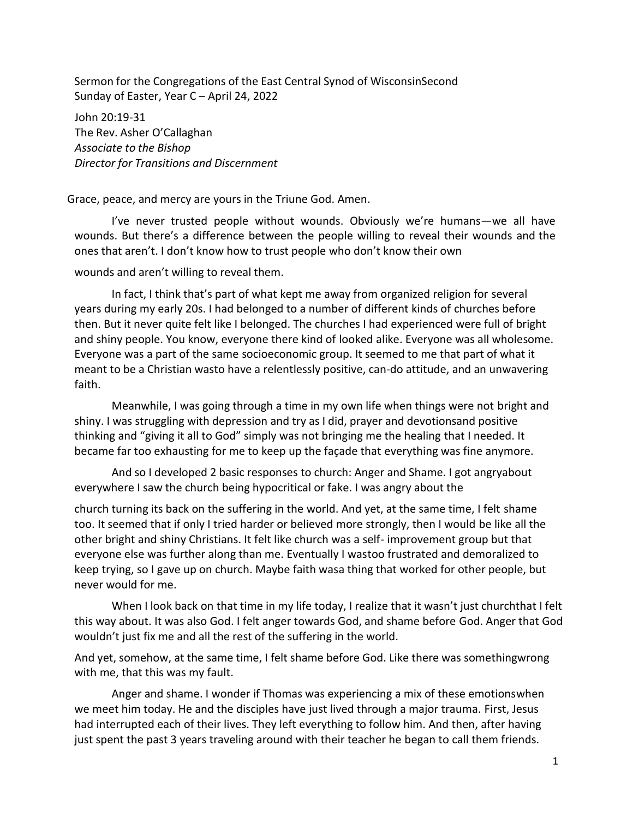Sermon for the Congregations of the East Central Synod of WisconsinSecond Sunday of Easter, Year C – April 24, 2022

John 20:19-31 The Rev. Asher O'Callaghan *Associate to the Bishop Director for Transitions and Discernment*

Grace, peace, and mercy are yours in the Triune God. Amen.

I've never trusted people without wounds. Obviously we're humans—we all have wounds. But there's a difference between the people willing to reveal their wounds and the ones that aren't. I don't know how to trust people who don't know their own

## wounds and aren't willing to reveal them.

In fact, I think that's part of what kept me away from organized religion for several years during my early 20s. I had belonged to a number of different kinds of churches before then. But it never quite felt like I belonged. The churches I had experienced were full of bright and shiny people. You know, everyone there kind of looked alike. Everyone was all wholesome. Everyone was a part of the same socioeconomic group. It seemed to me that part of what it meant to be a Christian wasto have a relentlessly positive, can-do attitude, and an unwavering faith.

Meanwhile, I was going through a time in my own life when things were not bright and shiny. I was struggling with depression and try as I did, prayer and devotionsand positive thinking and "giving it all to God" simply was not bringing me the healing that I needed. It became far too exhausting for me to keep up the façade that everything was fine anymore.

And so I developed 2 basic responses to church: Anger and Shame. I got angryabout everywhere I saw the church being hypocritical or fake. I was angry about the

church turning its back on the suffering in the world. And yet, at the same time, I felt shame too. It seemed that if only I tried harder or believed more strongly, then I would be like all the other bright and shiny Christians. It felt like church was a self- improvement group but that everyone else was further along than me. Eventually I wastoo frustrated and demoralized to keep trying, so I gave up on church. Maybe faith wasa thing that worked for other people, but never would for me.

When I look back on that time in my life today, I realize that it wasn't just churchthat I felt this way about. It was also God. I felt anger towards God, and shame before God. Anger that God wouldn't just fix me and all the rest of the suffering in the world.

And yet, somehow, at the same time, I felt shame before God. Like there was somethingwrong with me, that this was my fault.

Anger and shame. I wonder if Thomas was experiencing a mix of these emotionswhen we meet him today. He and the disciples have just lived through a major trauma. First, Jesus had interrupted each of their lives. They left everything to follow him. And then, after having just spent the past 3 years traveling around with their teacher he began to call them friends.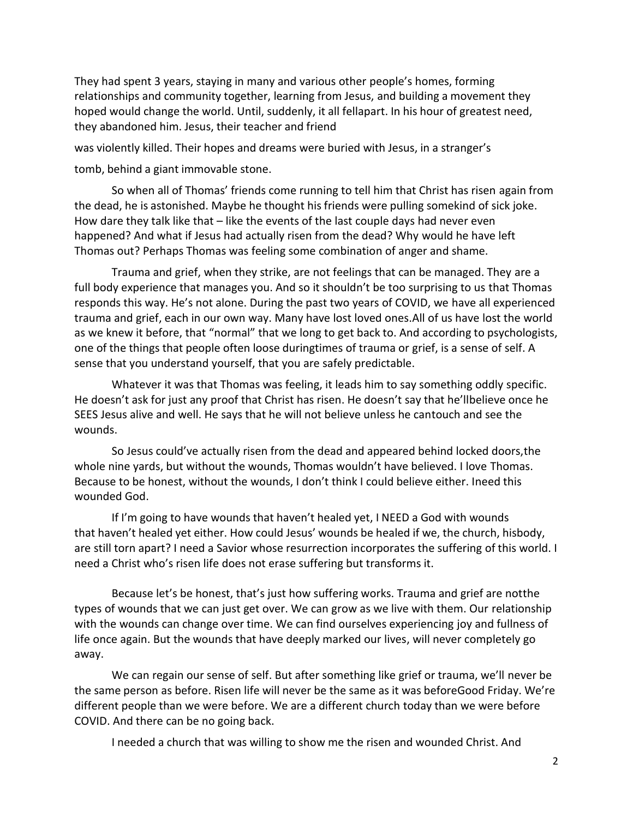They had spent 3 years, staying in many and various other people's homes, forming relationships and community together, learning from Jesus, and building a movement they hoped would change the world. Until, suddenly, it all fellapart. In his hour of greatest need, they abandoned him. Jesus, their teacher and friend

was violently killed. Their hopes and dreams were buried with Jesus, in a stranger's

tomb, behind a giant immovable stone.

So when all of Thomas' friends come running to tell him that Christ has risen again from the dead, he is astonished. Maybe he thought his friends were pulling somekind of sick joke. How dare they talk like that – like the events of the last couple days had never even happened? And what if Jesus had actually risen from the dead? Why would he have left Thomas out? Perhaps Thomas was feeling some combination of anger and shame.

Trauma and grief, when they strike, are not feelings that can be managed. They are a full body experience that manages you. And so it shouldn't be too surprising to us that Thomas responds this way. He's not alone. During the past two years of COVID, we have all experienced trauma and grief, each in our own way. Many have lost loved ones.All of us have lost the world as we knew it before, that "normal" that we long to get back to. And according to psychologists, one of the things that people often loose duringtimes of trauma or grief, is a sense of self. A sense that you understand yourself, that you are safely predictable.

Whatever it was that Thomas was feeling, it leads him to say something oddly specific. He doesn't ask for just any proof that Christ has risen. He doesn't say that he'llbelieve once he SEES Jesus alive and well. He says that he will not believe unless he cantouch and see the wounds.

So Jesus could've actually risen from the dead and appeared behind locked doors,the whole nine yards, but without the wounds, Thomas wouldn't have believed. I love Thomas. Because to be honest, without the wounds, I don't think I could believe either. Ineed this wounded God.

If I'm going to have wounds that haven't healed yet, I NEED a God with wounds that haven't healed yet either. How could Jesus' wounds be healed if we, the church, hisbody, are still torn apart? I need a Savior whose resurrection incorporates the suffering of this world. I need a Christ who's risen life does not erase suffering but transforms it.

Because let's be honest, that's just how suffering works. Trauma and grief are notthe types of wounds that we can just get over. We can grow as we live with them. Our relationship with the wounds can change over time. We can find ourselves experiencing joy and fullness of life once again. But the wounds that have deeply marked our lives, will never completely go away.

We can regain our sense of self. But after something like grief or trauma, we'll never be the same person as before. Risen life will never be the same as it was beforeGood Friday. We're different people than we were before. We are a different church today than we were before COVID. And there can be no going back.

I needed a church that was willing to show me the risen and wounded Christ. And